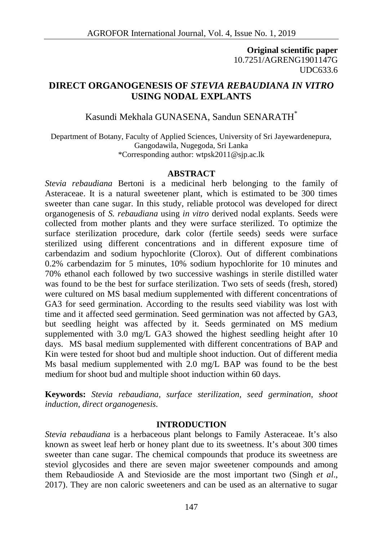**Original scientific paper** 10.7251/AGRENG1901147G UDC633.6

## **DIRECT ORGANOGENESIS OF** *STEVIA REBAUDIANA IN VITRO* **USING NODAL EXPLANTS**

# Kasundi Mekhala GUNASENA, Sandun SENARATH\*

Department of Botany, Faculty of Applied Sciences, University of Sri Jayewardenepura, Gangodawila, Nugegoda, Sri Lanka \*Corresponding author: wtpsk2011@sjp.ac.lk

#### **ABSTRACT**

*Stevia rebaudiana* Bertoni is a medicinal herb belonging to the family of Asteraceae. It is a natural sweetener plant, which is estimated to be 300 times sweeter than cane sugar. In this study, reliable protocol was developed for direct organogenesis of *S. rebaudiana* using *in vitro* derived nodal explants. Seeds were collected from mother plants and they were surface sterilized. To optimize the surface sterilization procedure, dark color (fertile seeds) seeds were surface sterilized using different concentrations and in different exposure time of carbendazim and sodium hypochlorite (Clorox). Out of different combinations 0.2% carbendazim for 5 minutes, 10% sodium hypochlorite for 10 minutes and 70% ethanol each followed by two successive washings in sterile distilled water was found to be the best for surface sterilization. Two sets of seeds (fresh, stored) were cultured on MS basal medium supplemented with different concentrations of GA3 for seed germination. According to the results seed viability was lost with time and it affected seed germination. Seed germination was not affected by GA3, but seedling height was affected by it. Seeds germinated on MS medium supplemented with 3.0 mg/L GA3 showed the highest seedling height after 10 days. MS basal medium supplemented with different concentrations of BAP and Kin were tested for shoot bud and multiple shoot induction. Out of different media Ms basal medium supplemented with 2.0 mg/L BAP was found to be the best medium for shoot bud and multiple shoot induction within 60 days.

**Keywords:** *Stevia rebaudiana, surface sterilization, seed germination, shoot induction, direct organogenesis.*

#### **INTRODUCTION**

*Stevia rebaudiana* is a herbaceous plant belongs to Family Asteraceae. It's also known as sweet leaf herb or honey plant due to its sweetness. It's about 300 times sweeter than cane sugar. The chemical compounds that produce its sweetness are steviol glycosides and there are seven major sweetener compounds and among them Rebaudioside A and Stevioside are the most important two (Singh *et al*., 2017). They are non caloric sweeteners and can be used as an alternative to sugar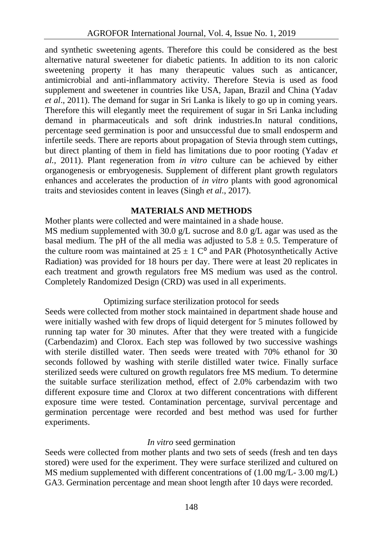and synthetic sweetening agents. Therefore this could be considered as the best alternative natural sweetener for diabetic patients. In addition to its non caloric sweetening property it has many therapeutic values such as anticancer, antimicrobial and anti-inflammatory activity. Therefore Stevia is used as food supplement and sweetener in countries like USA, Japan, Brazil and China (Yadav *et al*., 2011). The demand for sugar in Sri Lanka is likely to go up in coming years. Therefore this will elegantly meet the requirement of sugar in Sri Lanka including demand in pharmaceuticals and soft drink industries.In natural conditions, percentage seed germination is poor and unsuccessful due to small endosperm and infertile seeds. There are reports about propagation of Stevia through stem cuttings, but direct planting of them in field has limitations due to poor rooting (Yadav *et al.,* 2011). Plant regeneration from *in vitro* culture can be achieved by either organogenesis or embryogenesis. Supplement of different plant growth regulators enhances and accelerates the production of *in vitro* plants with good agronomical traits and steviosides content in leaves (Singh *et al*., 2017).

### **MATERIALS AND METHODS**

Mother plants were collected and were maintained in a shade house.

MS medium supplemented with 30.0 g/L sucrose and 8.0 g/L agar was used as the basal medium. The pH of the all media was adjusted to  $5.8 \pm 0.5$ . Temperature of the culture room was maintained at  $25 \pm 1$  C<sup>o</sup> and PAR (Photosynthetically Active Radiation) was provided for 18 hours per day. There were at least 20 replicates in each treatment and growth regulators free MS medium was used as the control. Completely Randomized Design (CRD) was used in all experiments.

### Optimizing surface sterilization protocol for seeds

Seeds were collected from mother stock maintained in department shade house and were initially washed with few drops of liquid detergent for 5 minutes followed by running tap water for 30 minutes. After that they were treated with a fungicide (Carbendazim) and Clorox. Each step was followed by two successive washings with sterile distilled water. Then seeds were treated with 70% ethanol for 30 seconds followed by washing with sterile distilled water twice. Finally surface sterilized seeds were cultured on growth regulators free MS medium. To determine the suitable surface sterilization method, effect of 2.0% carbendazim with two different exposure time and Clorox at two different concentrations with different exposure time were tested. Contamination percentage, survival percentage and germination percentage were recorded and best method was used for further experiments.

### *In vitro* seed germination

Seeds were collected from mother plants and two sets of seeds (fresh and ten days stored) were used for the experiment. They were surface sterilized and cultured on MS medium supplemented with different concentrations of (1.00 mg/L- 3.00 mg/L) GA3. Germination percentage and mean shoot length after 10 days were recorded.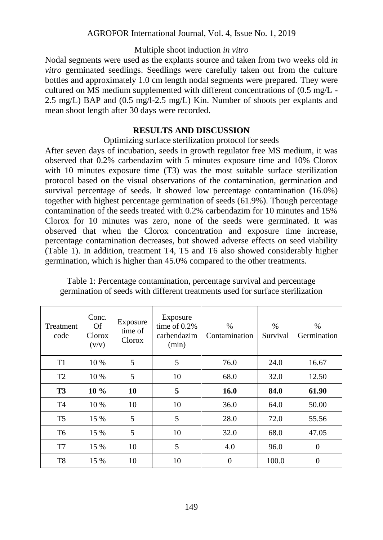#### Multiple shoot induction *in vitro*

Nodal segments were used as the explants source and taken from two weeks old *in vitro* germinated seedlings. Seedlings were carefully taken out from the culture bottles and approximately 1.0 cm length nodal segments were prepared. They were cultured on MS medium supplemented with different concentrations of (0.5 mg/L - 2.5 mg/L) BAP and (0.5 mg/l-2.5 mg/L) Kin. Number of shoots per explants and mean shoot length after 30 days were recorded.

### **RESULTS AND DISCUSSION**

Optimizing surface sterilization protocol for seeds

After seven days of incubation, seeds in growth regulator free MS medium, it was observed that 0.2% carbendazim with 5 minutes exposure time and 10% Clorox with 10 minutes exposure time (T3) was the most suitable surface sterilization protocol based on the visual observations of the contamination, germination and survival percentage of seeds. It showed low percentage contamination (16.0%) together with highest percentage germination of seeds (61.9%). Though percentage contamination of the seeds treated with 0.2% carbendazim for 10 minutes and 15% Clorox for 10 minutes was zero, none of the seeds were germinated. It was observed that when the Clorox concentration and exposure time increase, percentage contamination decreases, but showed adverse effects on seed viability (Table 1). In addition, treatment T4, T5 and T6 also showed considerably higher germination, which is higher than 45.0% compared to the other treatments.

| Treatment<br>code | Conc.<br>Of<br>Clorox<br>(v/v) | Exposure<br>time of<br>Clorox | Exposure<br>time of $0.2\%$<br>carbendazim<br>(min) | $\%$<br>Contamination | $\%$<br>Survival | $\%$<br>Germination |
|-------------------|--------------------------------|-------------------------------|-----------------------------------------------------|-----------------------|------------------|---------------------|
| T1                | 10 %                           | 5                             | 5                                                   | 76.0                  | 24.0             | 16.67               |
| T <sub>2</sub>    | 10 %                           | 5                             | 10                                                  | 68.0                  | 32.0             | 12.50               |
| <b>T3</b>         | $10\%$                         | 10                            | 5                                                   | 16.0                  | 84.0             | 61.90               |
| T <sub>4</sub>    | 10 %                           | 10                            | 10                                                  | 36.0                  | 64.0             | 50.00               |
| T <sub>5</sub>    | 15 %                           | 5                             | 5                                                   | 28.0                  | 72.0             | 55.56               |
| T6                | 15 %                           | 5                             | 10                                                  | 32.0                  | 68.0             | 47.05               |
| T7                | 15 %                           | 10                            | 5                                                   | 4.0                   | 96.0             | $\Omega$            |
| T8                | 15 %                           | 10                            | 10                                                  | $\theta$              | 100.0            | 0                   |

Table 1: Percentage contamination, percentage survival and percentage germination of seeds with different treatments used for surface sterilization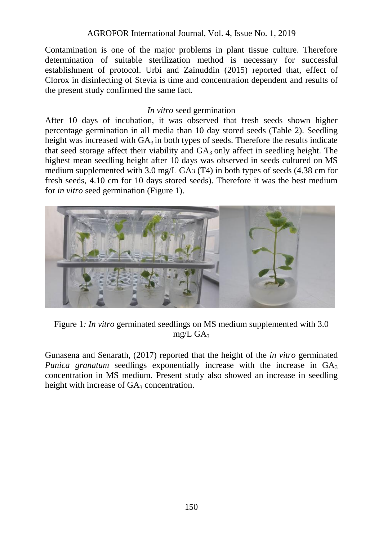Contamination is one of the major problems in plant tissue culture. Therefore determination of suitable sterilization method is necessary for successful establishment of protocol. Urbi and Zainuddin (2015) reported that, effect of Clorox in disinfecting of Stevia is time and concentration dependent and results of the present study confirmed the same fact.

## *In vitro* seed germination

After 10 days of incubation, it was observed that fresh seeds shown higher percentage germination in all media than 10 day stored seeds (Table 2). Seedling height was increased with  $GA_3$  in both types of seeds. Therefore the results indicate that seed storage affect their viability and  $GA_3$  only affect in seedling height. The highest mean seedling height after 10 days was observed in seeds cultured on MS medium supplemented with 3.0 mg/L GA3 (T4) in both types of seeds (4.38 cm for fresh seeds, 4.10 cm for 10 days stored seeds). Therefore it was the best medium for *in vitro* seed germination (Figure 1).



Figure 1*: In vitro* germinated seedlings on MS medium supplemented with 3.0 mg/L  $GA_3$ 

Gunasena and Senarath, (2017) reported that the height of the *in vitro* germinated *Punica granatum* seedlings exponentially increase with the increase in GA<sub>3</sub> concentration in MS medium. Present study also showed an increase in seedling height with increase of  $GA_3$  concentration.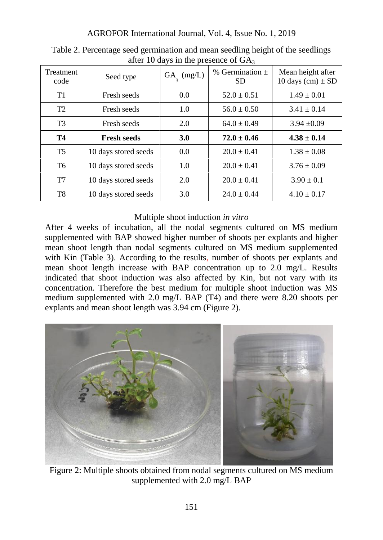| Treatment<br>code | Seed type            | $GA_{\text{3}} \text{ (mg/L)}$ | % Germination $\pm$<br><b>SD</b> | Mean height after<br>10 days (cm) $\pm$ SD |
|-------------------|----------------------|--------------------------------|----------------------------------|--------------------------------------------|
| T1                | Fresh seeds          | 0.0                            | $52.0 \pm 0.51$                  | $1.49 \pm 0.01$                            |
| T <sub>2</sub>    | Fresh seeds          | 1.0                            | $56.0 \pm 0.50$                  | $3.41 \pm 0.14$                            |
| T <sub>3</sub>    | Fresh seeds          | 2.0                            | $64.0 \pm 0.49$                  | $3.94 \pm 0.09$                            |
| T4                | <b>Fresh seeds</b>   | 3.0                            | $72.0 \pm 0.46$                  | $4.38 \pm 0.14$                            |
| T <sub>5</sub>    | 10 days stored seeds | 0.0                            | $20.0 \pm 0.41$                  | $1.38 \pm 0.08$                            |
| T <sub>6</sub>    | 10 days stored seeds | 1.0                            | $20.0 \pm 0.41$                  | $3.76 \pm 0.09$                            |
| T7                | 10 days stored seeds | 2.0                            | $20.0 \pm 0.41$                  | $3.90 \pm 0.1$                             |
| T8                | 10 days stored seeds | 3.0                            | $24.0 \pm 0.44$                  | $4.10 \pm 0.17$                            |

Table 2. Percentage seed germination and mean seedling height of the seedlings after 10 days in the presence of  $GA<sub>2</sub>$ 

### Multiple shoot induction *in vitro*

After 4 weeks of incubation, all the nodal segments cultured on MS medium supplemented with BAP showed higher number of shoots per explants and higher mean shoot length than nodal segments cultured on MS medium supplemented with Kin (Table 3). According to the results, number of shoots per explants and mean shoot length increase with BAP concentration up to 2.0 mg/L. Results indicated that shoot induction was also affected by Kin, but not vary with its concentration. Therefore the best medium for multiple shoot induction was MS medium supplemented with 2.0 mg/L BAP (T4) and there were 8.20 shoots per explants and mean shoot length was 3.94 cm (Figure 2).



Figure 2: Multiple shoots obtained from nodal segments cultured on MS medium supplemented with 2.0 mg/L BAP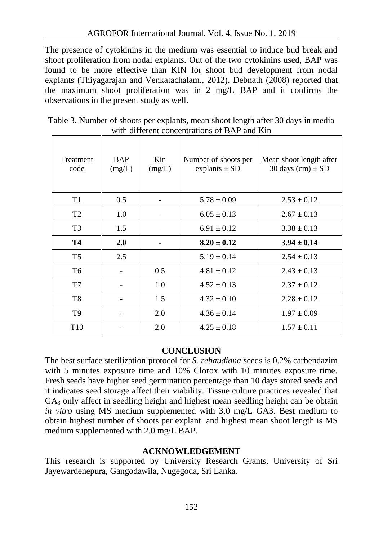The presence of cytokinins in the medium was essential to induce bud break and shoot proliferation from nodal explants. Out of the two cytokinins used, BAP was found to be more effective than KIN for shoot bud development from nodal explants (Thiyagarajan and Venkatachalam., 2012). Debnath (2008) reported that the maximum shoot proliferation was in 2 mg/L BAP and it confirms the observations in the present study as well.

| Table 3. Number of shoots per explants, mean shoot length after 30 days in media |  |  |  |  |  |  |  |
|----------------------------------------------------------------------------------|--|--|--|--|--|--|--|
| with different concentrations of BAP and Kin                                     |  |  |  |  |  |  |  |
|                                                                                  |  |  |  |  |  |  |  |

| <b>Treatment</b><br>code | <b>BAP</b><br>(mg/L) | Kin<br>(mg/L) | Number of shoots per<br>explants $\pm$ SD | Mean shoot length after<br>30 days $(cm) \pm SD$ |
|--------------------------|----------------------|---------------|-------------------------------------------|--------------------------------------------------|
| T1                       | 0.5                  |               | $5.78 \pm 0.09$                           | $2.53 \pm 0.12$                                  |
| T <sub>2</sub>           | 1.0                  |               | $6.05 \pm 0.13$                           | $2.67 \pm 0.13$                                  |
| T <sub>3</sub>           | 1.5                  |               | $6.91 \pm 0.12$                           | $3.38 \pm 0.13$                                  |
| T4                       | 2.0                  |               | $8.20 \pm 0.12$                           | $3.94 \pm 0.14$                                  |
| T5                       | 2.5                  |               | $5.19 \pm 0.14$                           | $2.54 \pm 0.13$                                  |
| T <sub>6</sub>           |                      | 0.5           | $4.81 \pm 0.12$                           | $2.43 \pm 0.13$                                  |
| T7                       |                      | 1.0           | $4.52 \pm 0.13$                           | $2.37 \pm 0.12$                                  |
| T8                       |                      | 1.5           | $4.32 \pm 0.10$                           | $2.28 \pm 0.12$                                  |
| T <sub>9</sub>           |                      | 2.0           | $4.36 \pm 0.14$                           | $1.97 \pm 0.09$                                  |
| T <sub>10</sub>          |                      | 2.0           | $4.25 \pm 0.18$                           | $1.57 \pm 0.11$                                  |

### **CONCLUSION**

The best surface sterilization protocol for *S. rebaudiana* seeds is 0.2% carbendazim with 5 minutes exposure time and 10% Clorox with 10 minutes exposure time. Fresh seeds have higher seed germination percentage than 10 days stored seeds and it indicates seed storage affect their viability. Tissue culture practices revealed that  $GA<sub>3</sub>$  only affect in seedling height and highest mean seedling height can be obtain *in vitro* using MS medium supplemented with 3.0 mg/L GA3. Best medium to obtain highest number of shoots per explant and highest mean shoot length is MS medium supplemented with 2.0 mg/L BAP.

### **ACKNOWLEDGEMENT**

This research is supported by University Research Grants, University of Sri Jayewardenepura, Gangodawila, Nugegoda, Sri Lanka.